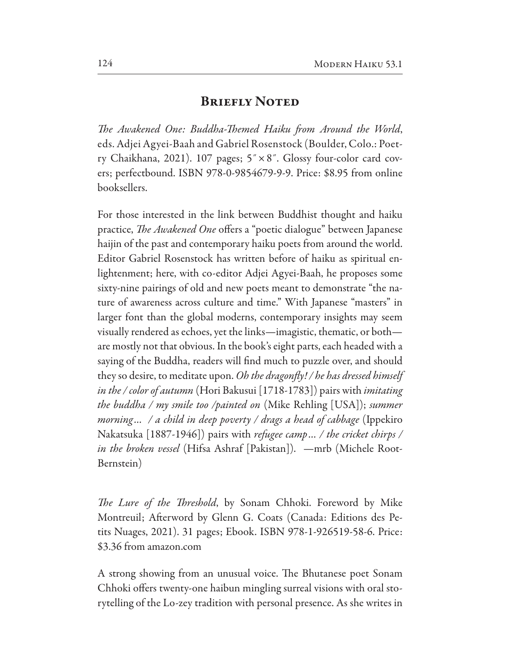## Briefly Noted

T*e Awakened One: Buddha-*T*emed Haiku* f*om Around the World*, eds. Adjei Agyei-Baah and Gabriel Rosenstock (Boulder, Colo.: Poetry Chaikhana, 2021). 107 pages; 5˝×8˝. Glossy four-color card covers; perfectbound. ISBN 978-0-9854679-9-9. Price:  $$8.95$  from online booksellers.

For those interested in the link between Buddhist thought and haiku practice, *The Awakened One* offers a "poetic dialogue" between Japanese haijin of the past and contemporary haiku poets from around the world. Editor Gabriel Rosenstock has written before of haiku as spiritual enlightenment; here, with co-editor Adjei Agyei-Baah, he proposes some sixty-nine pairings of old and new poets meant to demonstrate "the nature of awareness across culture and time." With Japanese "masters" in larger font than the global moderns, contemporary insights may seem visually rendered as echoes, yet the links—imagistic, thematic, or both are mostly not that obvious. In the book's eight parts, each headed with a saying of the Buddha, readers will fnd much to puzzle over, and should they so desire, to meditate upon. *Oh the dragon*f*y! / he has dressed himself in the / color of autumn* (Hori Bakusui [1718-1783]) pairs with *imitating the buddha / my smile too /painted on* (Mike Rehling [USA]); *summer morning… / a child in deep po*v*erty / drags a head of cabbage* (Ippekiro Nakatsuka [1887-1946]) pairs with *refugee camp*… / *the cricket chirps / in the broken vessel* (Hifsa Ashraf [Pakistan]). —mrb (Michele Root-Bernstein)

T*e Lure of the* T*reshold*, by Sonam Chhoki. Foreword by Mike Montreuil; Aferword by Glenn G. Coats (Canada: Editions des Petits Nuages, 2021). 31 pages; Ebook. ISBN 978-1-926519-58-6. Price: \$3.36 from amazon.com

A strong showing from an unusual voice. The Bhutanese poet Sonam Chhoki offers twenty-one haibun mingling surreal visions with oral storytelling of the Lo-zey tradition with personal presence. As she writes in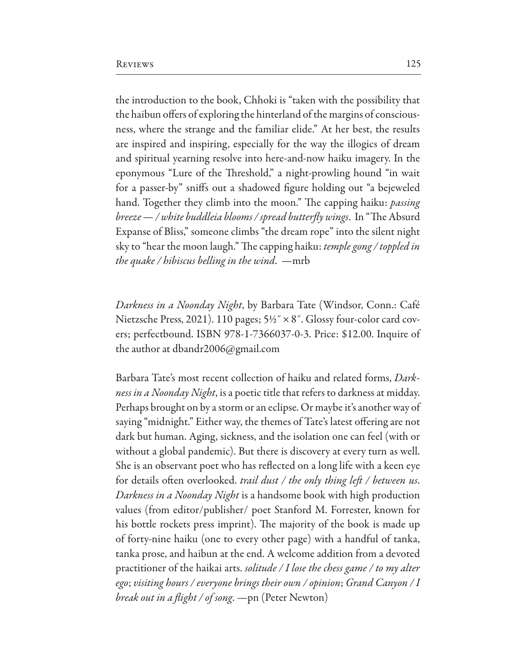the introduction to the book, Chhoki is "taken with the possibility that the haibun offers of exploring the hinterland of the margins of consciousness, where the strange and the familiar elide." At her best, the results are inspired and inspiring, especially for the way the illogics of dream and spiritual yearning resolve into here-and-now haiku imagery. In the eponymous "Lure of the Threshold," a night-prowling hound "in wait for a passer-by" snifs out a shadowed fgure holding out "a bejeweled hand. Together they climb into the moon." The capping haiku: *passing breeze* — / white buddleia blooms / spread butterfly wings. In "The Absurd Expanse of Bliss," someone climbs "the dream rope" into the silent night sky to "hear the moon laugh." The capping haiku: *temple gong / toppled in the quake / hibiscus belling in the wind*. —mrb

*Darkness in a Noonday Night*, by Barbara Tate (Windsor, Conn.: Café Nietzsche Press, 2021). 110 pages;  $5\frac{1}{2}$   $\times$  8". Glossy four-color card covers; perfectbound. ISBN 978-1-7366037-0-3. Price: \$12.00. Inquire of the author at dbandr2006@gmail.com

Barbara Tate's most recent collection of haiku and related forms, *Darkness in a Noonday Night*, is a poetic title that refers to darkness at midday. Perhaps brought on by a storm or an eclipse. Or maybe it's another way of saying "midnight." Either way, the themes of Tate's latest offering are not dark but human. Aging, sickness, and the isolation one can feel (with or without a global pandemic). But there is discovery at every turn as well. She is an observant poet who has refected on a long life with a keen eye for details often overlooked. *trail dust / the only thing left / between us*. *Darkness in a Noonday Night* is a handsome book with high production values (from editor/publisher/ poet Stanford M. Forrester, known for his bottle rockets press imprint). The majority of the book is made up of forty-nine haiku (one to every other page) with a handful of tanka, tanka prose, and haibun at the end. A welcome addition from a devoted practitioner of the haikai arts. *solitude / I lose the chess game / to my alter ego*; *visiting hours / everyone brings their own / opinion*; *Grand Canyon / I break out in a* f*ight / of song*. —pn (Peter Newton)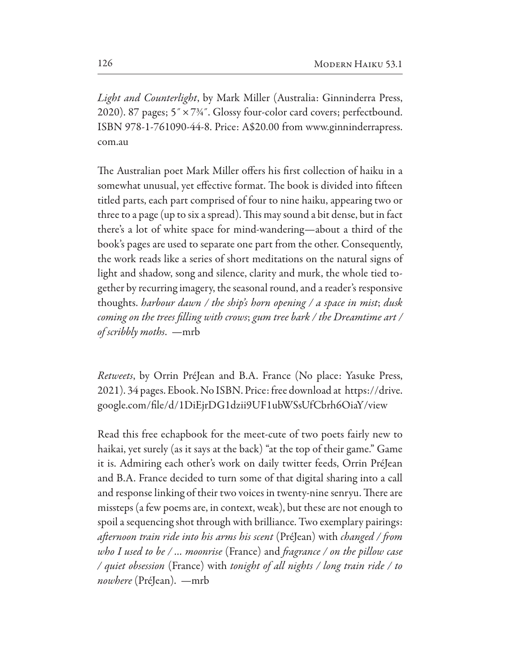*Light and Counterlight*, by Mark Miller (Australia: Ginninderra Press, 2020). 87 pages;  $5'' \times 7\frac{3}{4}$ . Glossy four-color card covers; perfectbound. ISBN 978-1-761090-44-8. Price: A\$20.00 from www.ginninderrapress. com.au

The Australian poet Mark Miller offers his first collection of haiku in a somewhat unusual, yet effective format. The book is divided into fifteen titled parts, each part comprised of four to nine haiku, appearing two or three to a page (up to six a spread). This may sound a bit dense, but in fact there's a lot of white space for mind-wandering—about a third of the book's pages are used to separate one part from the other. Consequently, the work reads like a series of short meditations on the natural signs of light and shadow, song and silence, clarity and murk, the whole tied together by recurring imagery, the seasonal round, and a reader's responsive thoughts. *harbour dawn / the ship's horn opening / a space in mist*; *dusk coming on the trees* f*lling with crows*; *gum tree bark / the Dreamtime art / of scribbly moths*. —mrb

*Retweets*, by Orrin PréJean and B.A. France (No place: Yasuke Press, 2021). 34 pages. Ebook. No ISBN. Price: free download at https://drive. google.com/file/d/1DiEjrDG1dzii9UF1ubWSsUfCbrh6OiaY/view

Read this free echapbook for the meet-cute of two poets fairly new to haikai, yet surely (as it says at the back) "at the top of their game." Game it is. Admiring each other's work on daily twitter feeds, Orrin PréJean and B.A. France decided to turn some of that digital sharing into a call and response linking of their two voices in twenty-nine senryu. There are missteps (a few poems are, in context, weak), but these are not enough to spoil a sequencing shot through with brilliance. Two exemplary pairings: *a*f*ernoon train ride into his arms his scent* (PréJean) with *changed /* f*om who I used to be / … moonrise* (France) and f*agrance / on the pillow case / quiet obsession* (France) with *tonight of all nights / long train ride / to nowhere* (PréJean). —mrb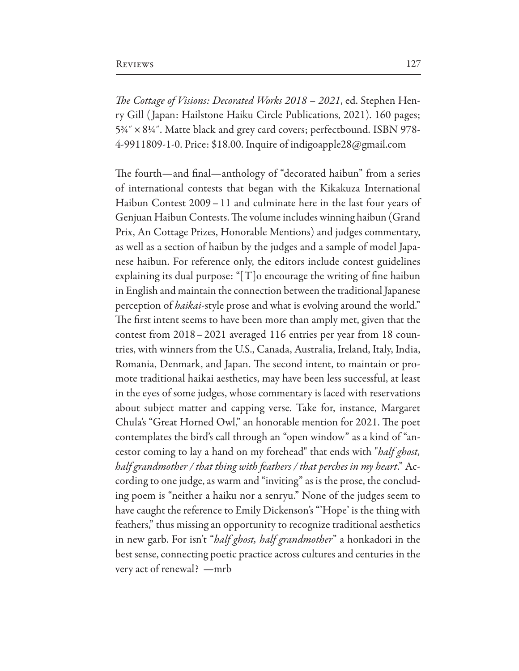T*e Cottage of Visions: Decorated Works 2018 – 2021*, ed. Stephen Henry Gill ( Japan: Hailstone Haiku Circle Publications, 2021). 160 pages;  $5\frac{3}{4}$ "  $\times$  8¼". Matte black and grey card covers; perfectbound. ISBN 978-4-9911809-1-0. Price: \$18.00. Inquire of indigoapple28@gmail.com

The fourth—and final—anthology of "decorated haibun" from a series of international contests that began with the Kikakuza International Haibun Contest 2009–11 and culminate here in the last four years of Genjuan Haibun Contests. The volume includes winning haibun (Grand Prix, An Cottage Prizes, Honorable Mentions) and judges commentary, as well as a section of haibun by the judges and a sample of model Japanese haibun. For reference only, the editors include contest guidelines explaining its dual purpose: " $[T]$ o encourage the writing of fine haibun in English and maintain the connection between the traditional Japanese perception of *haikai*-style prose and what is evolving around the world." The first intent seems to have been more than amply met, given that the contest from 2018–2021 averaged 116 entries per year from 18 countries, with winners from the U.S., Canada, Australia, Ireland, Italy, India, Romania, Denmark, and Japan. The second intent, to maintain or promote traditional haikai aesthetics, may have been less successful, at least in the eyes of some judges, whose commentary is laced with reservations about subject matter and capping verse. Take for, instance, Margaret Chula's "Great Horned Owl," an honorable mention for 2021. The poet contemplates the bird's call through an "open window" as a kind of "ancestor coming to lay a hand on my forehead" that ends with "*half ghost, half grandmother / that thing with feathers / that perches in my heart*." According to one judge, as warm and "inviting" as is the prose, the concluding poem is "neither a haiku nor a senryu." None of the judges seem to have caught the reference to Emily Dickenson's "'Hope' is the thing with feathers," thus missing an opportunity to recognize traditional aesthetics in new garb. For isn't "*half ghost, half grandmother*" a honkadori in the best sense, connecting poetic practice across cultures and centuries in the very act of renewal? —mrb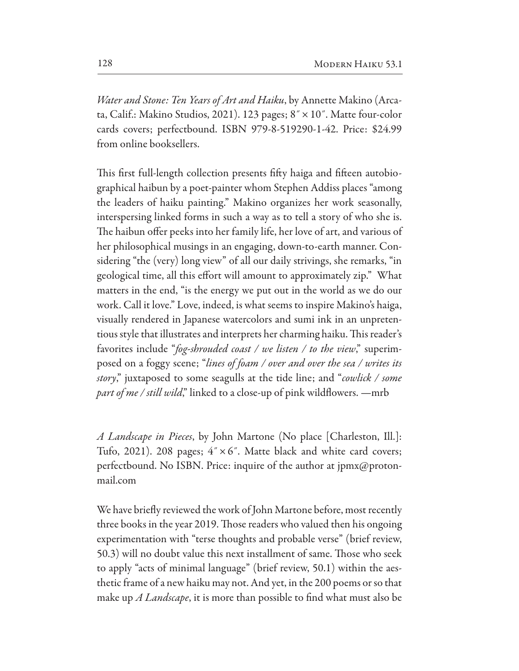*Water and Stone: Ten Years of Art and Haiku*, by Annette Makino (Arcata, Calif.: Makino Studios, 2021). 123 pages; 8˝×10˝. Matte four-color cards covers; perfectbound. ISBN 979-8-519290-1-42. Price: \$24.99 from online booksellers.

This first full-length collection presents fifty haiga and fifteen autobiographical haibun by a poet-painter whom Stephen Addiss places "among the leaders of haiku painting." Makino organizes her work seasonally, interspersing linked forms in such a way as to tell a story of who she is. The haibun offer peeks into her family life, her love of art, and various of her philosophical musings in an engaging, down-to-earth manner. Considering "the (very) long view" of all our daily strivings, she remarks, "in geological time, all this effort will amount to approximately zip." What matters in the end, "is the energy we put out in the world as we do our work. Call it love." Love, indeed, is what seems to inspire Makino's haiga, visually rendered in Japanese watercolors and sumi ink in an unpretentious style that illustrates and interprets her charming haiku. This reader's favorites include "*fog-shrouded coast / we listen / to the view*," superimposed on a foggy scene; "*lines of foam / over and over the sea / writes its story*," juxtaposed to some seagulls at the tide line; and "*cowlick / some part of me / still wild*," linked to a close-up of pink wildflowers. —mrb

*A Landscape in Pieces*, by John Martone (No place [Charleston, Ill.]: Tufo, 2021). 208 pages;  $4" \times 6"$ . Matte black and white card covers; perfectbound. No ISBN. Price: inquire of the author at jpmx@protonmail.com

We have briefy reviewed the work of John Martone before, most recently three books in the year 2019. Those readers who valued then his ongoing experimentation with "terse thoughts and probable verse" (brief review, 50.3) will no doubt value this next installment of same. Those who seek to apply "acts of minimal language" (brief review, 50.1) within the aesthetic frame of a new haiku may not. And yet, in the 200 poems or so that make up *A Landscape*, it is more than possible to fnd what must also be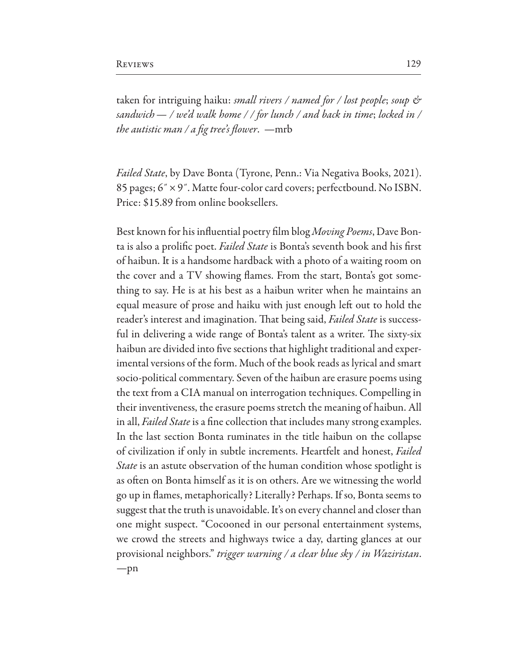taken for intriguing haiku: *small rivers / named for / lost people*; *soup & sandwich— / we'd walk home / / for lunch / and back in time*; *locked in / the autistic man / a* f*g tree's* f*ower*. —mrb

*Failed State*, by Dave Bonta (Tyrone, Penn.: Via Negativa Books, 2021). 85 pages; 6˝×9˝. Matte four-color card covers; perfectbound. No ISBN. Price: \$15.89 from online booksellers.

Best known for his infuential poetry flm blog *Mo*v*ing Poems*, Dave Bonta is also a prolifc poet. *Failed State* is Bonta's seventh book and his frst of haibun. It is a handsome hardback with a photo of a waiting room on the cover and a TV showing fames. From the start, Bonta's got something to say. He is at his best as a haibun writer when he maintains an equal measure of prose and haiku with just enough left out to hold the reader's interest and imagination. That being said, *Failed State* is successful in delivering a wide range of Bonta's talent as a writer. The sixty-six haibun are divided into five sections that highlight traditional and experimental versions of the form. Much of the book reads as lyrical and smart socio-political commentary. Seven of the haibun are erasure poems using the text from a CIA manual on interrogation techniques. Compelling in their inventiveness, the erasure poems stretch the meaning of haibun. All in all, *Failed State* is a fine collection that includes many strong examples. In the last section Bonta ruminates in the title haibun on the collapse of civilization if only in subtle increments. Heartfelt and honest, *Failed State* is an astute observation of the human condition whose spotlight is as often on Bonta himself as it is on others. Are we witnessing the world go up in fames, metaphorically? Literally? Perhaps. If so, Bonta seems to suggest that the truth is unavoidable. It's on every channel and closer than one might suspect. "Cocooned in our personal entertainment systems, we crowd the streets and highways twice a day, darting glances at our provisional neighbors." *trigger warning / a clear blue sky / in Waziristan*. —pn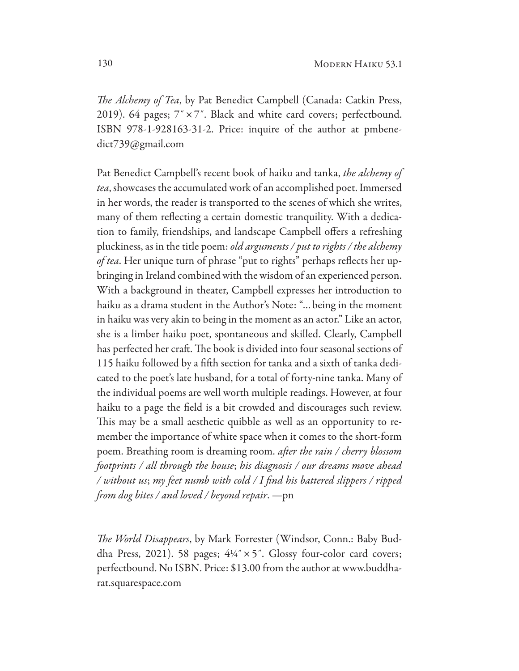T*e Alchemy of Tea*, by Pat Benedict Campbell (Canada: Catkin Press, 2019). 64 pages;  $7" \times 7"$ . Black and white card covers; perfectbound. ISBN 978-1-928163-31-2. Price: inquire of the author at pmbenedict739@gmail.com

Pat Benedict Campbell's recent book of haiku and tanka, *the alchemy of tea*, showcases the accumulated work of an accomplished poet. Immersed in her words, the reader is transported to the scenes of which she writes, many of them refecting a certain domestic tranquility. With a dedication to family, friendships, and landscape Campbell offers a refreshing pluckiness, as in the title poem: *old arguments / put to rights / the alchemy of tea*. Her unique turn of phrase "put to rights" perhaps refects her upbringing in Ireland combined with the wisdom of an experienced person. With a background in theater, Campbell expresses her introduction to haiku as a drama student in the Author's Note: "…being in the moment in haiku was very akin to being in the moment as an actor." Like an actor, she is a limber haiku poet, spontaneous and skilled. Clearly, Campbell has perfected her craft. The book is divided into four seasonal sections of 115 haiku followed by a fifth section for tanka and a sixth of tanka dedicated to the poet's late husband, for a total of forty-nine tanka. Many of the individual poems are well worth multiple readings. However, at four haiku to a page the feld is a bit crowded and discourages such review. This may be a small aesthetic quibble as well as an opportunity to remember the importance of white space when it comes to the short-form poem. Breathing room is dreaming room. *a*f*er the rain / cherry blossom footprints / all through the house*; *his diagnosis / our dreams mo*v*e ahead / without us*; *my feet numb with cold / I* f*nd his battered slippers / ripped*  f*om dog bites / and lo*v*ed / beyond repair*. —pn

T*e World Disappears*, by Mark Forrester (Windsor, Conn.: Baby Buddha Press, 2021). 58 pages;  $4\frac{1}{4}$   $\times$  5". Glossy four-color card covers; perfectbound. No ISBN. Price: \$13.00 from the author at www.buddharat.squarespace.com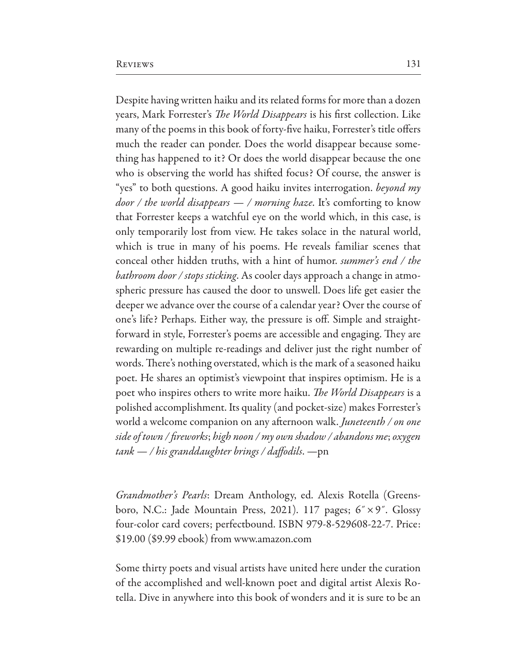Despite having written haiku and its related forms for more than a dozen years, Mark Forrester's T*e World Disappears* is his frst collection. Like many of the poems in this book of forty-fve haiku, Forrester's title ofers much the reader can ponder. Does the world disappear because something has happened to it? Or does the world disappear because the one who is observing the world has shifted focus? Of course, the answer is "yes" to both questions. A good haiku invites interrogation. *beyond my door / the world disappears — / morning haze*. It's comforting to know that Forrester keeps a watchful eye on the world which, in this case, is only temporarily lost from view. He takes solace in the natural world, which is true in many of his poems. He reveals familiar scenes that conceal other hidden truths, with a hint of humor. *summer's end / the bathroom door / stops sticking*. As cooler days approach a change in atmospheric pressure has caused the door to unswell. Does life get easier the deeper we advance over the course of a calendar year? Over the course of one's life? Perhaps. Either way, the pressure is of. Simple and straightforward in style, Forrester's poems are accessible and engaging. They are rewarding on multiple re-readings and deliver just the right number of words. There's nothing overstated, which is the mark of a seasoned haiku poet. He shares an optimist's viewpoint that inspires optimism. He is a poet who inspires others to write more haiku. T*e World Disappears* is a polished accomplishment. Its quality (and pocket-size) makes Forrester's world a welcome companion on any afernoon walk. *Juneteenth / on one side of town /* f*reworks*; *high noon / my own shadow / abandons me*; *oxygen tank — / his granddaughter brings / da*f*odils*. —pn

*Grandmother's Pearls*: Dream Anthology, ed. Alexis Rotella (Greensboro, N.C.: Jade Mountain Press, 2021). 117 pages; 6˝×9˝. Glossy four-color card covers; perfectbound. ISBN 979-8-529608-22-7. Price: \$19.00 (\$9.99 ebook) from www.amazon.com

Some thirty poets and visual artists have united here under the curation of the accomplished and well-known poet and digital artist Alexis Rotella. Dive in anywhere into this book of wonders and it is sure to be an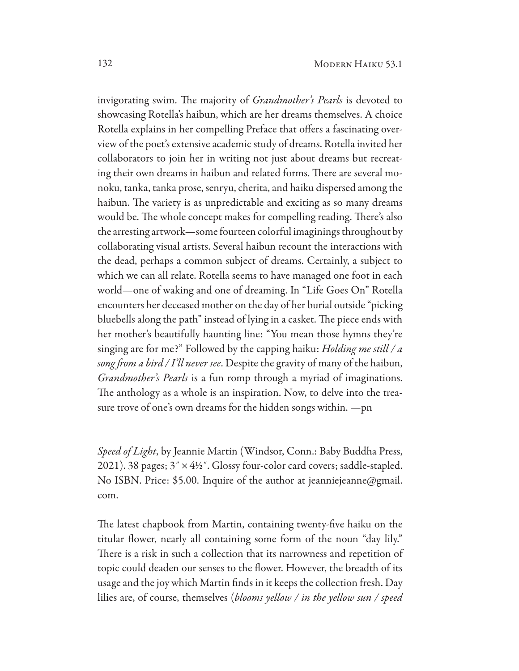invigorating swim. The majority of *Grandmother's Pearls* is devoted to showcasing Rotella's haibun, which are her dreams themselves. A choice Rotella explains in her compelling Preface that offers a fascinating overview of the poet's extensive academic study of dreams. Rotella invited her collaborators to join her in writing not just about dreams but recreating their own dreams in haibun and related forms. There are several monoku, tanka, tanka prose, senryu, cherita, and haiku dispersed among the haibun. The variety is as unpredictable and exciting as so many dreams would be. The whole concept makes for compelling reading. There's also the arresting artwork—some fourteen colorful imaginings throughout by collaborating visual artists. Several haibun recount the interactions with the dead, perhaps a common subject of dreams. Certainly, a subject to which we can all relate. Rotella seems to have managed one foot in each world—one of waking and one of dreaming. In "Life Goes On" Rotella encounters her deceased mother on the day of her burial outside "picking bluebells along the path" instead of lying in a casket. The piece ends with her mother's beautifully haunting line: "You mean those hymns they're singing are for me?" Followed by the capping haiku: *Holding me still / a song* f*om a bird / I'll never see*. Despite the gravity of many of the haibun, *Grandmother's Pearls* is a fun romp through a myriad of imaginations. The anthology as a whole is an inspiration. Now, to delve into the treasure trove of one's own dreams for the hidden songs within. —pn

*Speed of Light*, by Jeannie Martin (Windsor, Conn.: Baby Buddha Press, 2021). 38 pages;  $3'' \times 4\frac{1}{2}$ . Glossy four-color card covers; saddle-stapled. No ISBN. Price: \$5.00. Inquire of the author at jeanniejeanne@gmail. com.

The latest chapbook from Martin, containing twenty-five haiku on the titular fower, nearly all containing some form of the noun "day lily." There is a risk in such a collection that its narrowness and repetition of topic could deaden our senses to the fower. However, the breadth of its usage and the joy which Martin fnds in it keeps the collection fresh. Day lilies are, of course, themselves (*blooms yellow / in the yellow sun / speed*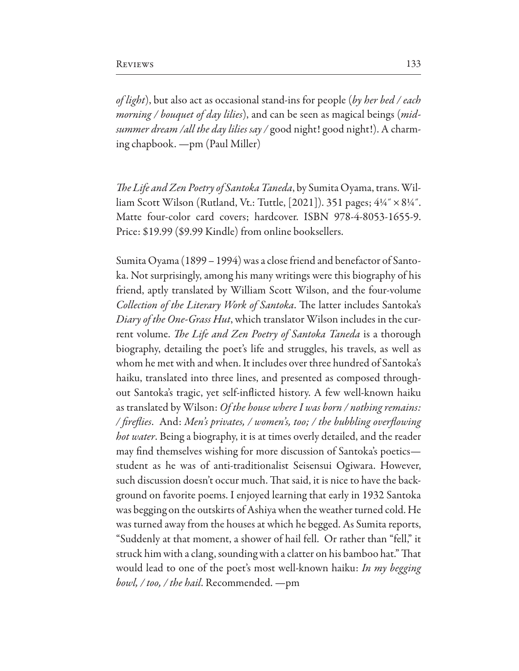*of light*), but also act as occasional stand-ins for people (*by her bed / each morning / bouquet of day lilies*), and can be seen as magical beings (*midsummer dream /all the day lilies say /* good night! good night!). A charming chapbook. —pm (Paul Miller)

The Life and Zen Poetry of Santoka Taneda, by Sumita Oyama, trans. William Scott Wilson (Rutland, Vt.: Tuttle, [2021]). 351 pages;  $4\frac{1}{4}$ ″ ×  $8\frac{1}{4}$ ″. Matte four-color card covers; hardcover. ISBN 978-4-8053-1655-9. Price: \$19.99 (\$9.99 Kindle) from online booksellers.

Sumita Oyama (1899 – 1994) was a close friend and benefactor of Santoka. Not surprisingly, among his many writings were this biography of his friend, aptly translated by William Scott Wilson, and the four-volume *Collection of the Literary Work of Santoka*. The latter includes Santoka's *Diary of the One-Grass Hut*, which translator Wilson includes in the current volume. *The Life and Zen Poetry of Santoka Taneda* is a thorough biography, detailing the poet's life and struggles, his travels, as well as whom he met with and when. It includes over three hundred of Santoka's haiku, translated into three lines, and presented as composed throughout Santoka's tragic, yet self-inficted history. A few well-known haiku as translated by Wilson: *Of the house where I was born / nothing remains: /* f*re*f*ies*. And: *Men's privates, / women's, too; / the bubbling over*f*owing hot water*. Being a biography, it is at times overly detailed, and the reader may fnd themselves wishing for more discussion of Santoka's poetics student as he was of anti-traditionalist Seisensui Ogiwara. However, such discussion doesn't occur much. That said, it is nice to have the background on favorite poems. I enjoyed learning that early in 1932 Santoka was begging on the outskirts of Ashiya when the weather turned cold. He was turned away from the houses at which he begged. As Sumita reports, "Suddenly at that moment, a shower of hail fell.  $\,$  Or rather than "fell," it struck him with a clang, sounding with a clatter on his bamboo hat." That would lead to one of the poet's most well-known haiku: *In my begging bowl, / too, / the hail*. Recommended. —pm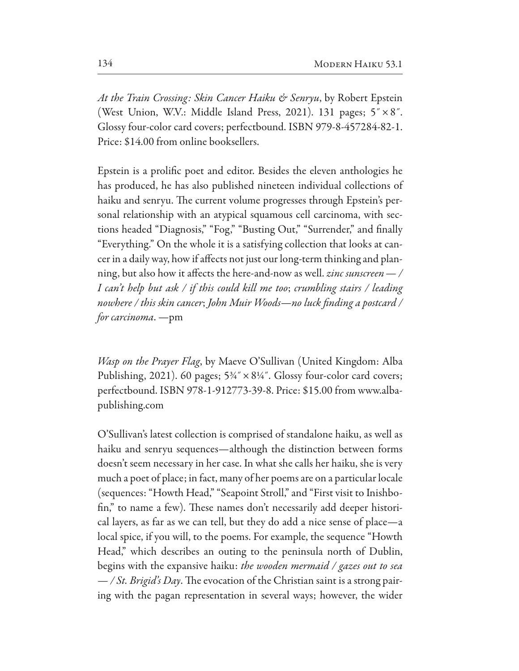*At the Train Crossing: Skin Cancer Haiku & Senryu*, by Robert Epstein (West Union, W.V.: Middle Island Press, 2021). 131 pages; 5˝×8˝. Glossy four-color card covers; perfectbound. ISBN 979-8-457284-82-1. Price: \$14.00 from online booksellers.

Epstein is a prolifc poet and editor. Besides the eleven anthologies he has produced, he has also published nineteen individual collections of haiku and senryu. The current volume progresses through Epstein's personal relationship with an atypical squamous cell carcinoma, with sections headed "Diagnosis," "Fog," "Busting Out," "Surrender," and finally "Everything." On the whole it is a satisfying collection that looks at cancer in a daily way, how if afects not just our long-term thinking and planning, but also how it afects the here-and-now as well. *zinc sunscreen— / I can't help but ask / if this could kill me too*; *crumbling stairs / leading nowhere / this skin cancer*; *John Muir Woods—no luck* f*nding a postcard / for carcinoma*. —pm

*Wasp on the Prayer Flag*, by Maeve O'Sullivan (United Kingdom: Alba Publishing, 2021). 60 pages;  $5\frac{3}{4}$   $\times$   $8\frac{1}{4}$ . Glossy four-color card covers; perfectbound. ISBN 978-1-912773-39-8. Price: \$15.00 from www.albapublishing.com

O'Sullivan's latest collection is comprised of standalone haiku, as well as haiku and senryu sequences—although the distinction between forms doesn't seem necessary in her case. In what she calls her haiku, she is very much a poet of place; in fact, many of her poems are on a particular locale (sequences: "Howth Head," "Seapoint Stroll," and "First visit to Inishbofin," to name a few). These names don't necessarily add deeper historical layers, as far as we can tell, but they do add a nice sense of place—a local spice, if you will, to the poems. For example, the sequence "Howth Head," which describes an outing to the peninsula north of Dublin, begins with the expansive haiku: the wooden mermaid / gazes out to sea  $-\frac{f}{f}$  *St. Brigid's Day*. The evocation of the Christian saint is a strong pairing with the pagan representation in several ways; however, the wider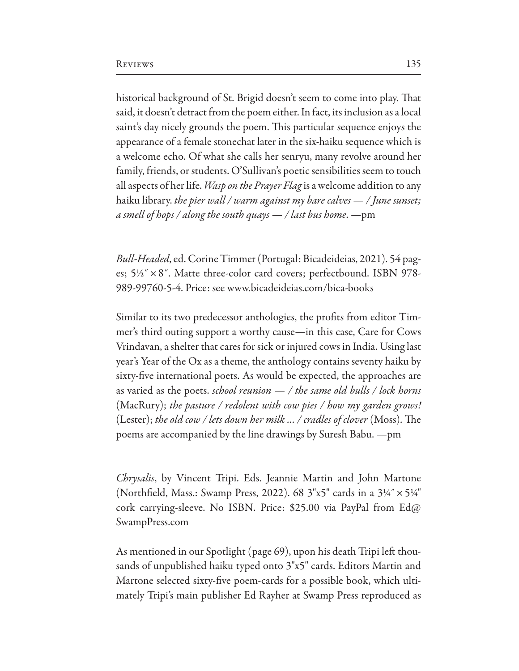historical background of St. Brigid doesn't seem to come into play. That said, it doesn't detract from the poem either. In fact, its inclusion as a local saint's day nicely grounds the poem. This particular sequence enjoys the appearance of a female stonechat later in the six-haiku sequence which is a welcome echo. Of what she calls her senryu, many revolve around her family, friends, or students. O'Sullivan's poetic sensibilities seem to touch all aspects of her life. *Wasp on the Prayer Flag* is a welcome addition to any haiku library. *the pier wall / warm against my bare cal*v*es — / June sunset; a smell of hops / along the south quays — / last bus home*. —pm

*Bull-Headed*, ed. Corine Timmer (Portugal: Bicadeideias, 2021). 54 pages; 5½˝×8˝. Matte three-color card covers; perfectbound. ISBN 978- 989-99760-5-4. Price: see www.bicadeideias.com/bica-books

Similar to its two predecessor anthologies, the profts from editor Timmer's third outing support a worthy cause—in this case, Care for Cows Vrindavan, a shelter that cares for sick or injured cows in India. Using last year's Year of the Ox as a theme, the anthology contains seventy haiku by sixty-five international poets. As would be expected, the approaches are as varied as the poets. *school reunion — / the same old bulls / lock horns*  (MacRury); *the pasture / redolent with cow pies / how my garden grows!*  (Lester); *the old cow / lets down her milk ... / cradles of clover* (Moss). The poems are accompanied by the line drawings by Suresh Babu. —pm

*Chrysalis*, by Vincent Tripi. Eds. Jeannie Martin and John Martone (Northfield, Mass.: Swamp Press, 2022). 68  $3"x5"$  cards in a  $3\frac{1}{4}" \times 5\frac{1}{4}"$ cork carrying-sleeve. No ISBN. Price: \$25.00 via PayPal from Ed@ SwampPress.com

As mentioned in our Spotlight (page 69), upon his death Tripi left thousands of unpublished haiku typed onto  $3"x5"$  cards. Editors Martin and Martone selected sixty-five poem-cards for a possible book, which ultimately Tripi's main publisher Ed Rayher at Swamp Press reproduced as